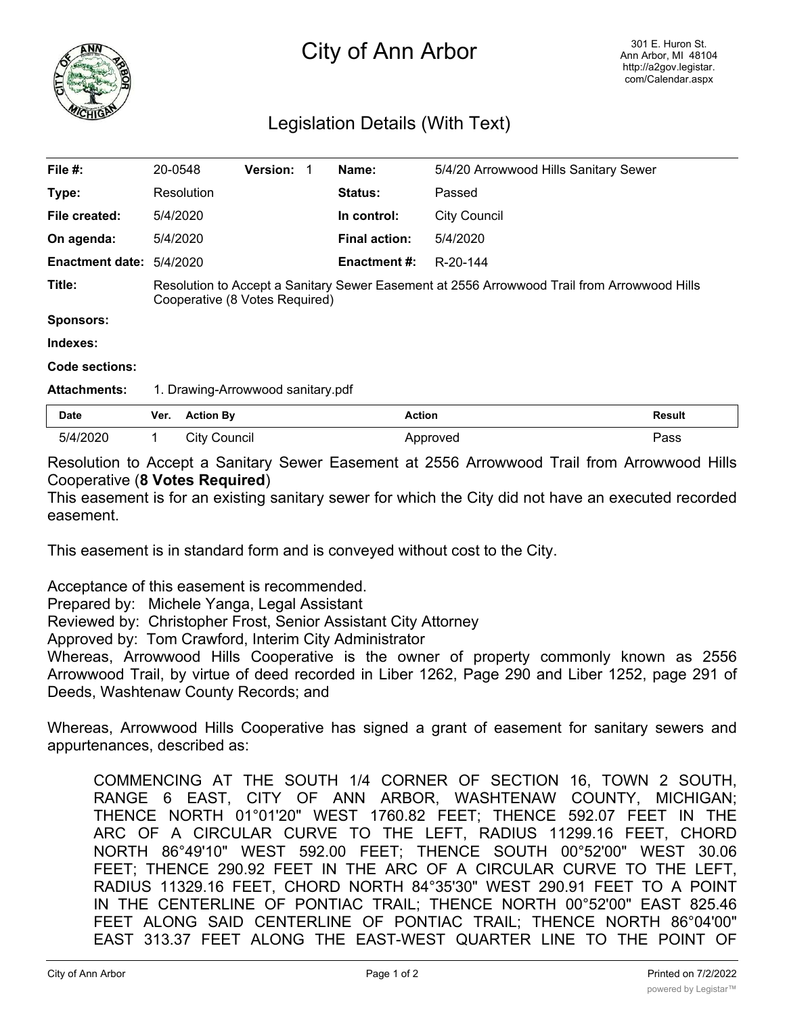

## City of Ann Arbor

## Legislation Details (With Text)

| File $#$ :               | 20-0548                                                                                                                       |                  | <b>Version:</b> |  | Name:                | 5/4/20 Arrowwood Hills Sanitary Sewer |               |
|--------------------------|-------------------------------------------------------------------------------------------------------------------------------|------------------|-----------------|--|----------------------|---------------------------------------|---------------|
| Type:                    |                                                                                                                               | Resolution       |                 |  | <b>Status:</b>       | Passed                                |               |
| File created:            |                                                                                                                               | 5/4/2020         |                 |  | In control:          | <b>City Council</b>                   |               |
| On agenda:               |                                                                                                                               | 5/4/2020         |                 |  | <b>Final action:</b> | 5/4/2020                              |               |
| Enactment date: 5/4/2020 |                                                                                                                               |                  |                 |  | <b>Enactment #:</b>  | R-20-144                              |               |
| Title:                   | Resolution to Accept a Sanitary Sewer Easement at 2556 Arrowwood Trail from Arrowwood Hills<br>Cooperative (8 Votes Required) |                  |                 |  |                      |                                       |               |
| <b>Sponsors:</b>         |                                                                                                                               |                  |                 |  |                      |                                       |               |
| Indexes:                 |                                                                                                                               |                  |                 |  |                      |                                       |               |
| Code sections:           |                                                                                                                               |                  |                 |  |                      |                                       |               |
| <b>Attachments:</b>      | 1. Drawing-Arrowwood sanitary.pdf                                                                                             |                  |                 |  |                      |                                       |               |
| <b>Date</b>              | Ver.                                                                                                                          | <b>Action By</b> |                 |  | <b>Action</b>        |                                       | <b>Result</b> |
| 5/4/2020                 | 1                                                                                                                             | City Council     |                 |  |                      | Approved                              | Pass          |

Resolution to Accept a Sanitary Sewer Easement at 2556 Arrowwood Trail from Arrowwood Hills Cooperative (**8 Votes Required**)

This easement is for an existing sanitary sewer for which the City did not have an executed recorded easement.

This easement is in standard form and is conveyed without cost to the City.

Acceptance of this easement is recommended.

Prepared by: Michele Yanga, Legal Assistant

Reviewed by: Christopher Frost, Senior Assistant City Attorney

Approved by: Tom Crawford, Interim City Administrator

Whereas, Arrowwood Hills Cooperative is the owner of property commonly known as 2556 Arrowwood Trail, by virtue of deed recorded in Liber 1262, Page 290 and Liber 1252, page 291 of Deeds, Washtenaw County Records; and

Whereas, Arrowwood Hills Cooperative has signed a grant of easement for sanitary sewers and appurtenances, described as:

COMMENCING AT THE SOUTH 1/4 CORNER OF SECTION 16, TOWN 2 SOUTH, RANGE 6 EAST, CITY OF ANN ARBOR, WASHTENAW COUNTY, MICHIGAN; THENCE NORTH 01°01'20" WEST 1760.82 FEET; THENCE 592.07 FEET IN THE ARC OF A CIRCULAR CURVE TO THE LEFT, RADIUS 11299.16 FEET, CHORD NORTH 86°49'10" WEST 592.00 FEET; THENCE SOUTH 00°52'00" WEST 30.06 FEET; THENCE 290.92 FEET IN THE ARC OF A CIRCULAR CURVE TO THE LEFT, RADIUS 11329.16 FEET, CHORD NORTH 84°35'30" WEST 290.91 FEET TO A POINT IN THE CENTERLINE OF PONTIAC TRAIL; THENCE NORTH 00°52'00" EAST 825.46 FEET ALONG SAID CENTERLINE OF PONTIAC TRAIL; THENCE NORTH 86°04'00" EAST 313.37 FEET ALONG THE EAST-WEST QUARTER LINE TO THE POINT OF

 $\mathcal{L}(\mathcal{L}(\mathcal{L}(\mathcal{L}(\mathcal{L}(\mathcal{L}(\mathcal{L}(\mathcal{L}(\mathcal{L}(\mathcal{L}(\mathcal{L}(\mathcal{L}(\mathcal{L}(\mathcal{L}(\mathcal{L}(\mathcal{L}(\mathcal{L}(\mathcal{L}(\mathcal{L}(\mathcal{L}(\mathcal{L}(\mathcal{L}(\mathcal{L}(\mathcal{L}(\mathcal{L}(\mathcal{L}(\mathcal{L}(\mathcal{L}(\mathcal{L}(\mathcal{L}(\mathcal{L}(\mathcal{L}(\mathcal{L}(\mathcal{L}(\mathcal{L}(\mathcal{L}(\mathcal{$